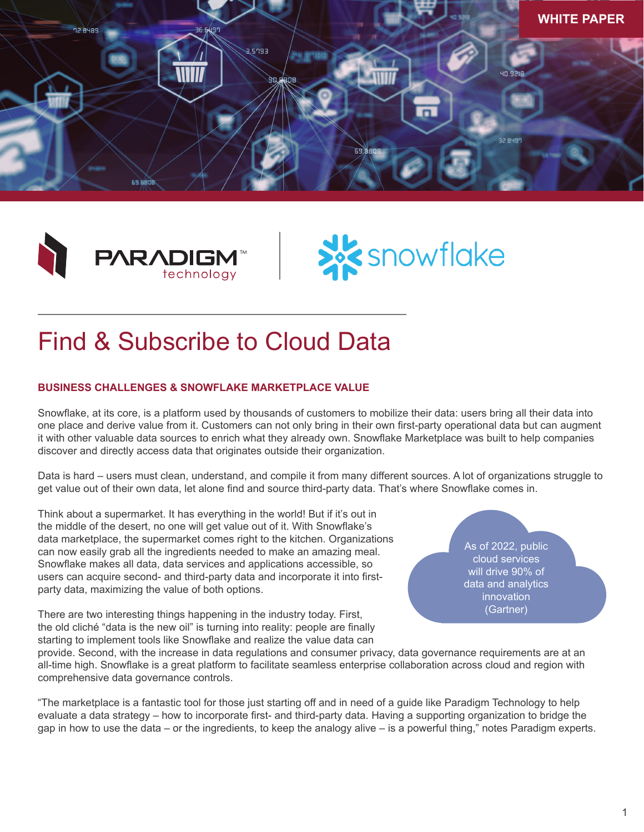





# Find & Subscribe to Cloud Data

## **BUSINESS CHALLENGES & SNOWFLAKE MARKETPLACE VALUE**

Snowflake, at its core, is a platform used by thousands of customers to mobilize their data: users bring all their data into one place and derive value from it. Customers can not only bring in their own first-party operational data but can augment it with other valuable data sources to enrich what they already own. Snowflake Marketplace was built to help companies discover and directly access data that originates outside their organization.

Data is hard – users must clean, understand, and compile it from many different sources. A lot of organizations struggle to get value out of their own data, let alone find and source third-party data. That's where Snowflake comes in.

Think about a supermarket. It has everything in the world! But if it's out in the middle of the desert, no one will get value out of it. With Snowflake's data marketplace, the supermarket comes right to the kitchen. Organizations can now easily grab all the ingredients needed to make an amazing meal. Snowflake makes all data, data services and applications accessible, so users can acquire second- and third-party data and incorporate it into firstparty data, maximizing the value of both options.

There are two interesting things happening in the industry today. First, the old cliché "data is the new oil" is turning into reality: people are finally starting to implement tools like Snowflake and realize the value data can

As of 2022, public cloud services will drive 90% of data and analytics innovation (Gartner)

provide. Second, with the increase in data regulations and consumer privacy, data governance requirements are at an all-time high. Snowflake is a great platform to facilitate seamless enterprise collaboration across cloud and region with comprehensive data governance controls.

"The marketplace is a fantastic tool for those just starting off and in need of a guide like Paradigm Technology to help evaluate a data strategy – how to incorporate first- and third-party data. Having a supporting organization to bridge the gap in how to use the data – or the ingredients, to keep the analogy alive – is a powerful thing," notes Paradigm experts.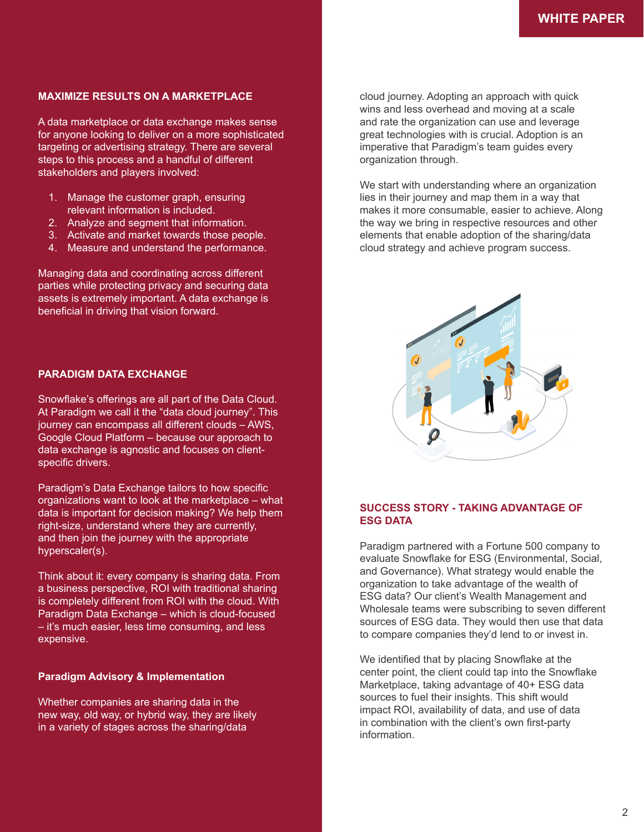## **MAXIMIZE RESULTS ON A MARKETPLACE**

A data marketplace or data exchange makes sense for anyone looking to deliver on a more sophisticated targeting or advertising strategy. There are several steps to this process and a handful of different stakeholders and players involved:

- 1. Manage the customer graph, ensuring relevant information is included.
- 2. Analyze and segment that information.
- 3. Activate and market towards those people.
- 4. Measure and understand the performance.

Managing data and coordinating across different parties while protecting privacy and securing data assets is extremely important. A data exchange is beneficial in driving that vision forward.

#### **PARADIGM DATA EXCHANGE**

Snowflake's offerings are all part of the Data Cloud. At Paradigm we call it the "data cloud journey". This journey can encompass all different clouds – AWS, Google Cloud Platform – because our approach to data exchange is agnostic and focuses on clientspecific drivers.

Paradigm's Data Exchange tailors to how specific organizations want to look at the marketplace – what data is important for decision making? We help them right-size, understand where they are currently, and then join the journey with the appropriate hyperscaler(s).

Think about it: every company is sharing data. From a business perspective, ROI with traditional sharing is completely different from ROI with the cloud. With Paradigm Data Exchange – which is cloud-focused – it's much easier, less time consuming, and less expensive.

#### **Paradigm Advisory & Implementation**

Whether companies are sharing data in the new way, old way, or hybrid way, they are likely in a variety of stages across the sharing/data

cloud journey. Adopting an approach with quick wins and less overhead and moving at a scale and rate the organization can use and leverage great technologies with is crucial. Adoption is an imperative that Paradigm's team guides every organization through.

We start with understanding where an organization lies in their journey and map them in a way that makes it more consumable, easier to achieve. Along the way we bring in respective resources and other elements that enable adoption of the sharing/data cloud strategy and achieve program success.



## **SUCCESS STORY - TAKING ADVANTAGE OF ESG DATA**

Paradigm partnered with a Fortune 500 company to evaluate Snowflake for ESG (Environmental, Social, and Governance). What strategy would enable the organization to take advantage of the wealth of ESG data? Our client's Wealth Management and Wholesale teams were subscribing to seven different sources of ESG data. They would then use that data to compare companies they'd lend to or invest in.

We identified that by placing Snowflake at the center point, the client could tap into the Snowflake Marketplace, taking advantage of 40+ ESG data sources to fuel their insights. This shift would impact ROI, availability of data, and use of data in combination with the client's own first-party information.